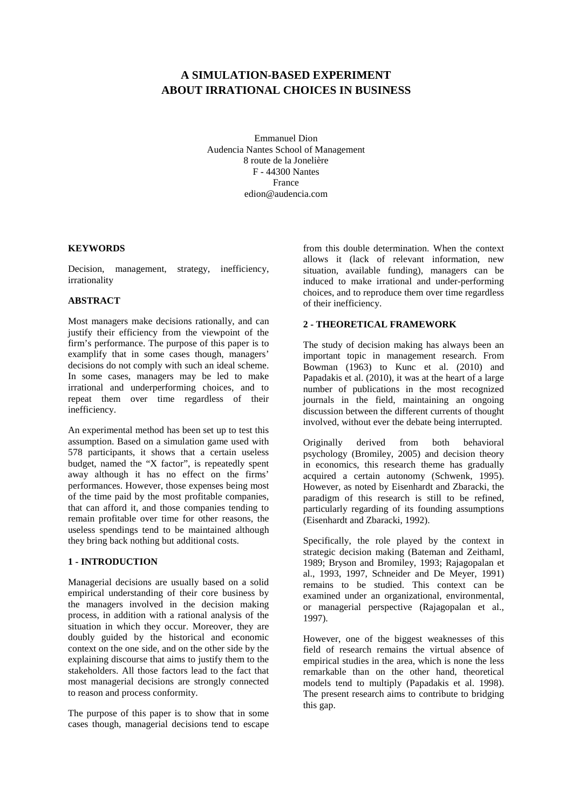# **A SIMULATION-BASED EXPERIMENT ABOUT IRRATIONAL CHOICES IN BUSINESS**

Emmanuel Dion Audencia Nantes School of Management 8 route de la Jonelière F - 44300 Nantes France edion@audencia.com

# **KEYWORDS**

Decision, management, strategy, inefficiency, irrationality

# **ABSTRACT**

Most managers make decisions rationally, and can justify their efficiency from the viewpoint of the firm's performance. The purpose of this paper is to examplify that in some cases though, managers' decisions do not comply with such an ideal scheme. In some cases, managers may be led to make irrational and underperforming choices, and to repeat them over time regardless of their inefficiency.

An experimental method has been set up to test this assumption. Based on a simulation game used with 578 participants, it shows that a certain useless budget, named the "X factor", is repeatedly spent away although it has no effect on the firms' performances. However, those expenses being most of the time paid by the most profitable companies, that can afford it, and those companies tending to remain profitable over time for other reasons, the useless spendings tend to be maintained although they bring back nothing but additional costs.

# **1 - INTRODUCTION**

Managerial decisions are usually based on a solid empirical understanding of their core business by the managers involved in the decision making process, in addition with a rational analysis of the situation in which they occur. Moreover, they are doubly guided by the historical and economic context on the one side, and on the other side by the explaining discourse that aims to justify them to the stakeholders. All those factors lead to the fact that most managerial decisions are strongly connected to reason and process conformity.

The purpose of this paper is to show that in some cases though, managerial decisions tend to escape

from this double determination. When the context allows it (lack of relevant information, new situation, available funding), managers can be induced to make irrational and under-performing choices, and to reproduce them over time regardless of their inefficiency.

# **2 - THEORETICAL FRAMEWORK**

The study of decision making has always been an important topic in management research. From Bowman (1963) to Kunc et al. (2010) and Papadakis et al. (2010), it was at the heart of a large number of publications in the most recognized journals in the field, maintaining an ongoing discussion between the different currents of thought involved, without ever the debate being interrupted.

Originally derived from both behavioral psychology (Bromiley, 2005) and decision theory in economics, this research theme has gradually acquired a certain autonomy (Schwenk, 1995). However, as noted by Eisenhardt and Zbaracki, the paradigm of this research is still to be refined, particularly regarding of its founding assumptions (Eisenhardt and Zbaracki, 1992).

Specifically, the role played by the context in strategic decision making (Bateman and Zeithaml, 1989; Bryson and Bromiley, 1993; Rajagopalan et al., 1993, 1997, Schneider and De Meyer, 1991) remains to be studied. This context can be examined under an organizational, environmental, or managerial perspective (Rajagopalan et al., 1997).

However, one of the biggest weaknesses of this field of research remains the virtual absence of empirical studies in the area, which is none the less remarkable than on the other hand, theoretical models tend to multiply (Papadakis et al. 1998). The present research aims to contribute to bridging this gap.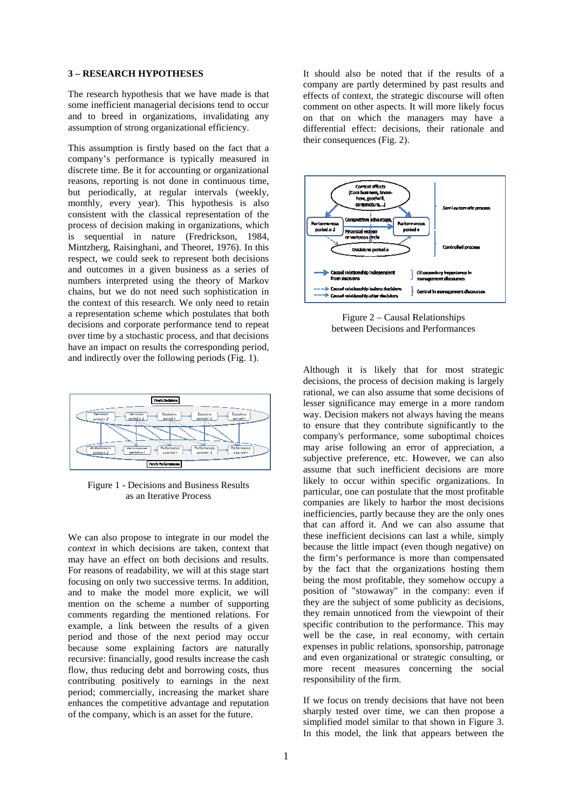#### **3 – RESEARCH HYPOTHESES**

The research hypothesis that we have made is that some inefficient managerial decisions tend to occur and to breed in organizations, invalidating any assumption of strong organizational efficiency.

This assumption is firstly based on the fact that a company's performance is typically measured in discrete time. Be it for accounting or organizational reasons, reporting is not done in continuous time, but periodically, at regular intervals (weekly, monthly, every year). This hypothesis is also consistent with the classical representation of the process of decision making in organizations, which is sequential in nature (Fredrickson, 1984, Mintzberg, Raisinghani, and Theoret, 1976). In this respect, we could seek to represent both decisions and outcomes in a given business as a series of numbers interpreted using the theory of Markov chains, but we do not need such sophistication in the context of this research. We only need a representation scheme which postulates that both decisions and corporate performance tend to repeat over time by a stochastic process, and that decisions have an impact on results the corresponding period, and indirectly over the following periods (Fig. 1). , we could seek to represent both decisions<br>tcomes in a given business as a series of<br>rs interpreted using the theory of Markov<br>but we do not need such sophistication in<br>text of this research. We only need to retain



Figure 1 - Decisions and Business Results as an Iterative Process

as an Iterative Process<br>We can also propose to integrate in our model the *context* in which decisions are taken, context that may have an effect on both decisions and results. For reasons of readability, we will at this stage start focusing on only two successive terms. In addition, and to make the model more explicit, we will mention on the scheme a number of supporting comments regarding the mentioned relations. For example, a link between the results of a given period and those of the next period may occur because some explaining factors are naturally recursive: financially, good results increase the cash flow, thus reducing debt and borrowing costs, thus contributing positively to earnings in the next period; commercially, increasing the enhances the competitive advantage and reputation of the company, which is an asset for the future. owing costs, thus<br>ngs in the next<br>the market share It should also be noted that if the results of a company are partly determined by past results and effects of context, the strategic discourse will often comment on other aspects. It will more likely focus on that on which the managers may have a differential effect: decisions, their rationale and their consequences (Fig. 2).



Figure 2 – Causal R Relationships between Decisions and Performances

Although it is likely that for most strategic decisions, the process of decision making is largely rational, we can also assume that some decisions of lesser significance may emerge in a more random way. Decision makers not always having the means to ensure that they contribute significantly to the company's performance, some suboptimal choices may arise following an error of appreciation, a subjective preference, etc. However, we can also assume that such inefficient decisions are more likely to occur within specific organizations. In particular, one can postulate that the most profitable companies are likely to harbor the most decisions companies are likely to harbor the most decisions<br>inefficiencies, partly because they are the only ones that can afford it. And we can also assume that these inefficient decisions can last a while, simply that can afford it. And we can also assume that these inefficient decisions can last a while, simply because the little impact (even though negative) on the firm's performance is more than compensated by the fact that the organizations hosting them being the most profitable, they somehow occupy a position of "stowaway" in the company: even if they are the subject of some publicity as decisions, they remain unnoticed from the viewpoint of their specific contribution to the performance. This may well be the case, in real economy, with certain expenses in public relations, sponsorship, patronage and even organizational or strategic consulting, or more recent measures concerning the social responsibility of the firm. n error of appreciation, a<br>etc. However, we can also<br>ficient decisions are more

If we focus on trendy decisions that have not been sharply tested over time, we can then propose a simplified model similar to that shown in Figure 3. In this model, the link that appears between the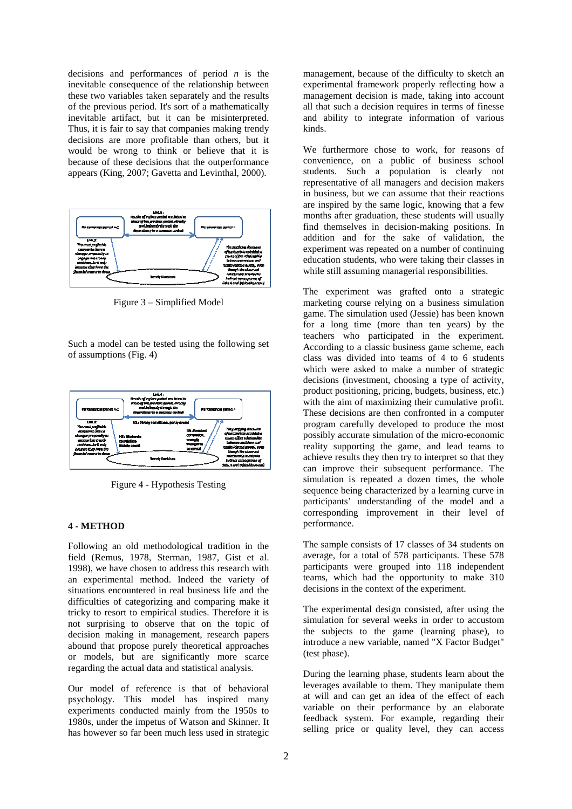decisions and performances of period *n* is the inevitable consequence of the relationship between these two variables taken separately and the results of the previous period. It's sort of a mathematically inevitable artifact, but it can be misinterpreted. inevitable artifact, but it can be misinterpreted.<br>Thus, it is fair to say that companies making trendy decisions are more profitable than others, but it would be wrong to think or believe that it is because of these decisions that the outperformance appears (King, 2007; Gavetta and Levinthal, 2000).



Figure 3 – Simplified Model

Such a model can be tested using the following set of assumptions (Fig. 4)



Figure 4 - Hypothesis Testing

#### **4 - METHOD**

Figure 4 - Hypothesis Testing<br>
4 - METHOD<br>Following an old methodological tradition in the field (Remus, 1978, Sterman, 1987, Gist et al. field (Remus, 1978, Sterman, 1987, Gist et al. 1998), we have chosen to address this research with an experimental method. Indeed the variety of situations encountered in real business life and the difficulties of categorizing and comparing make it tricky to resort to empirical studies . Therefore it is not surprising to observe that on the topic of decision making in management, research papers abound that propose purely theoretical approaches or models, but are significantly more scarce regarding the actual data and statistical anal analysis.

Our model of reference is that of behavioral psychology. This model has inspired many experiments conducted mainly from the 1950s to 1980s, under the impetus of Watson and Skinner. It has however so far been much less used in strategic

management, because of the difficulty to sketch an experimental framework properly reflecting how a management decision is made, taking into account all that such a decision requires in terms of finesse and ability to integrate information of various kinds.

We furthermore chose to work, for reasons of convenience, on a public of business school students. Such a population is clearly not representative of all managers and decision makers in business, but we can assume that their reactions are inspired by the same logic, k knowing that a few months after graduation, these students will usually find themselves in decision-making positions. In addition and for the sake of validation, the experiment was repeated on a number of continuing education students, who were taking their classes in while still assuming managerial responsibilities.

The experiment was grafted onto a strategic marketing course relying on a business simulation game. The simulation used (Jessie) has been known for a long time (more than ten years) by the teachers who participated in the experiment. According to a classic business game scheme, each class was divided into teams of 4 to 6 students which were asked to make a number of strategic which were asked to make a number of strategic<br>decisions (investment, choosing a type of activity, product positioning, pricing, budgets, business, etc.) product positioning, pricing, budgets, business, etc.)<br>with the aim of maximizing their cumulative profit. These decisions are then confronted in a computer program carefully developed to produce the most possibly accurate simulation of the micro-economic reality supporting the game, and lead teams to achieve results they then try to interpret so that they can improve their subsequent performance. The simulation is repeated a dozen times, the whole sequence being characterized by a learning curve in participants' understanding of the model and a corresponding improvement in their level of performance.

The sample consists of 17 classes of 34 students on average, for a total of 578 participants. These 578 participants were grouped into 118 independent teams, which had the opportunity to make 310 decisions in the context of the experiment.

The experimental design consisted, after using the simulation for several weeks in order to accustom the subjects to the game (learning phase), to introduce a new variable, named "X Factor Budget" (test phase).

During the learning phase, students learn about the leverages available to them. They manipulate them at will and can get an idea of the effect of each variable on their performance by an elaborate feedback system. For example, regarding their selling price or quality level, they can access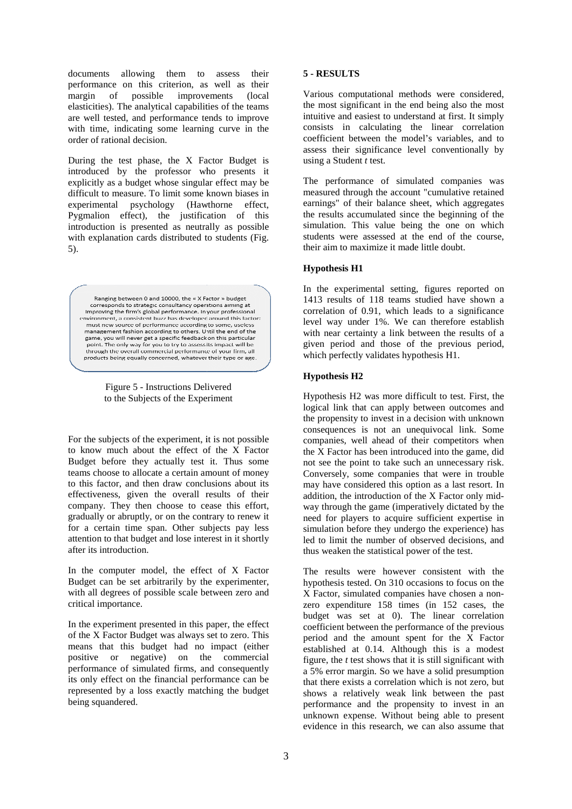documents allowing them to assess their performance on this criterion, as well as their margin of possible elasticities). The analytical capabilities of the teams are well tested, and performance tends to improve with time, indicating some learning curve in the order of rational decision. improvements (local

During the test phase, the  $X$  Factor Budget is introduced by the professor who presents it explicitly as a budget whose singular effect may be difficult to measure. To limit some known biases in experimental psychology (Hawthorne (Hawthorne effect, Pygmalion effect), the justification of this introduction is presented as neutrally as possible with explanation cards distributed to students (Fig. 5).

Ranging between 0 and 10000, the « X Factor » budget corresponds to strategic consultancy operations aiming at improving the firm's global performance. In your professional environment, a consistent buzz has developed around this factor: must new source of performance according to some useless mascher source or performance according to some, assetss game, you will never get a specific feedback on this particular point. The only way for you to try to assess its impact will be through the overall commercial performance of your firm, all products being equally concerned, whatever their type or age.

Figure 5 - Instructions Delivered to the Subjects of the Experiment

For the subjects of the experiment, it is not possible to know much about the effect of the X Factor Budget before they actually test it. Thus some teams choose to allocate a certain amount of money to this factor, and then draw conclusions about its effectiveness, given the overall results of their company. They then choose to cease this effort, gradually or abruptly, or on the contrary to renew it for a certain time span. Other subjects pay less attention to that budget and lose interest in it shortly after its introduction. xperiment<br>nt, it is not possible<br>tt of the X Factor

In the computer model, the effect of X Factor Budget can be set arbitrarily by the experimenter, with all degrees of possible scale between zero and critical importance.

In the experiment presented in this paper, the effect of the X Factor Budget was always set to zero. This means that this budget had no impact (either positive or negative) on the commercial performance of simulated firms, and consequently its only effect on the financial performance can be represented by a loss exactly match matching the budget being squandered.

### **5 - RESULTS**

Various computational methods were considered, the most significant in the end be being also the most intuitive and easiest to understand at first. It simply consists in calculating the linear correlation coefficient between the model's variables, and to assess their significance level conventionally by using a Student *t* test.

The performance of simulated companies was measured through the account "cumulative retained earnings" of their balance sheet, which aggregates the results accumulated since the beginning of the simulation. This value being being the one on which students were assessed at the end of the course, their aim to maximize it made little doubt doubt.

### **Hypothesis H1**

In the experimental setting, figures reported on 1413 results of 118 teams studied have shown a correlation of 0.91, which leads to a significance level way under 1%. We can therefore establish with near certainty a link between the results of a given period and those of the previous period, which perfectly validates hypothesis H1.

# **Hypothesis H2**

Hypothesis H2 was more difficult to test. First, the Hypothesis H2 was more difficult to test. First, the logical link that can apply between outcomes and the propensity to invest in a decision with unknown consequences is not an unequivocal link. Some companies, well ahead of their competitors when the X Factor has been introduced into the game, did not see the point to take such an unnecessary risk. not see the point to take such an unnecessary risk. Conversely, some companies that were in trouble may have considered this option as a last resort. In addition, the introduction of the X Factor only midway through the game (imperatively dictated by the need for players to acquire sufficient expertise in simulation before they undergo the experience) has led to limit the number of observed decisions, and thus weaken the statistical power of the test.

The results were however consistent with the hypothesis tested. On 310 occasions to fo focus on the X Factor, simulated companies have chosen a nonzero expenditure 158 times (in 152 cases, the budget was set at 0). The linear correlation coefficient between the performance of the previous period and the amount spent for the X F Factor established at 0.14. Although this is a modest figure, the *t* test shows that it is still significant with a 5% error margin. So we have a solid presumption that there exists a correlation which is not zero, but shows a relatively weak link between the past performance and the propensity to invest in an unknown expense. Without being able to present evidence in this research, we can also assume that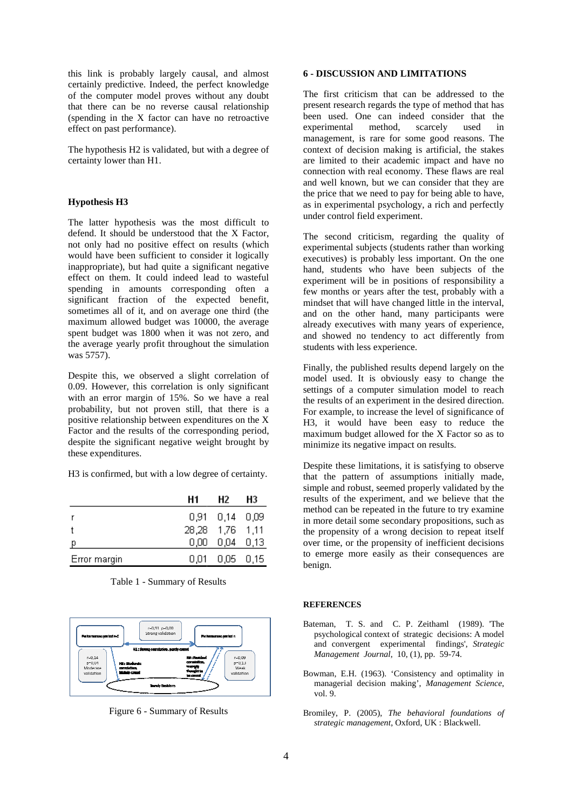this link is probably largely causal, and almost certainly predictive. Indeed, the perfect knowledge of the computer model proves without any doubt that there can be no reverse causal relationship (spending in the X factor can have no retroactive effect on past performance).

The hypothesis H2 is validated, but with a degree of certainty lower than H1.

#### **Hypothesis H3**

The latter hypothesis was the most difficult to defend. It should be understood that the X Factor, not only had no positive effect on results (which would have been sufficient to consider it logically inappropriate), but had quite a significant negative effect on them. It could indeed lead to wasteful spending in amounts corresponding often a significant fraction of the expected benefit, sometimes all of it, and on average one third (the maximum allowed budget was 10000, the average spent budget was 1800 when it was not zero, and the average yearly profit throughout the simulation was 5757). , and on average one third (the budget was 10000, the average 1800 when it was not zero, and profit throughout the simulation bbserved a slight correlation of s correlation is only significant is in probably largely causal, and units of a DECUSSION AND LIMITATIONS<br>
is professional and the stationary of the method in the stationary of the stationary of the stationary of the stationary of the stationary of the st

Despite this, we observed a slight correlation of 0.09. However, this correlation is only significant with an error margin of 15%. So we have a real probability, but not proven still, that there is a positive relationship between expenditures on the X Factor and the results of the corresponding period, despite the significant negative weight brought by these expenditures.

H3 is confirmed, but with a low degree of certainty.

|              | Н1              | Н2             | H3 |
|--------------|-----------------|----------------|----|
|              |                 | 0,91 0,14 0,09 |    |
|              | 28,28 1,76 1,11 |                |    |
| p            |                 | 0,00 0,04 0,13 |    |
| Error margin | 0.01.           | $0,05$ 0.15    |    |





Figure 6 - Summary of Results

The first criticism that can be addressed to the present research regards the type of method that has been used. One can indeed consider that the experimental method, management, is rare for some good reasons. The context of decision making is artificial, the stakes context of decision making is artificial, the stakes are limited to their academic impact and have no connection with real economy. These flaws are real and well known, but we can consider that they are the price that we need to pay for being able to have, as in experimental psychology, a rich and perfectly under control field experiment. scarcely used in

The second criticism, regarding the quality of experimental subjects (students rather than working executives) is probably less important. On the one hand, students who have been subjects of the experiment will be in positions of responsibility a few months or years after the test, probably with a mindset that will have changed little in the interval, and on the other hand, many participants were already executives with many years of experience, and showed no tendency to act differently from students with less experience.

Finally, the published results depend largely on the model used. It is obviously easy to change the settings of a computer simulation model to reach the results of an experiment in the desired direction. For example, to increase the level of significance of H3, it would have been easy to reduce the maximum budget allowed for the X Factor so as to minimize its negative impact on results.

Despite these limitations, it is satisfying to observe that the pattern of assumptions initially made, simple and robust, seemed properly validated by the results of the experiment, and we believe that the method can be repeated in the future to try examine in more detail some secondary propositions, such as the propensity of a wrong decision to repeat itself the propensity of a wrong decision to repeat itself<br>over time, or the propensity of inefficient decisions to emerge more easily as their consequences are benign.

# **REFERENCES**

- Bateman, T. S. and C. P. Zeithaml (1989). 'The psychological context of strategic decisions: A model psychological context of strategic decisions: A model<br>and convergent experimental findings', Strategic *Management Journal*, 10, (1), pp. 59 59-74.
- Bowman, E.H. (1963). 'Consistency and optimality in managerial decision making', *Management Science*, vol. 9.
- Bromiley, P. (2005), *The behavioral foundations of strategic management*, Oxford, UK : Blackwell.